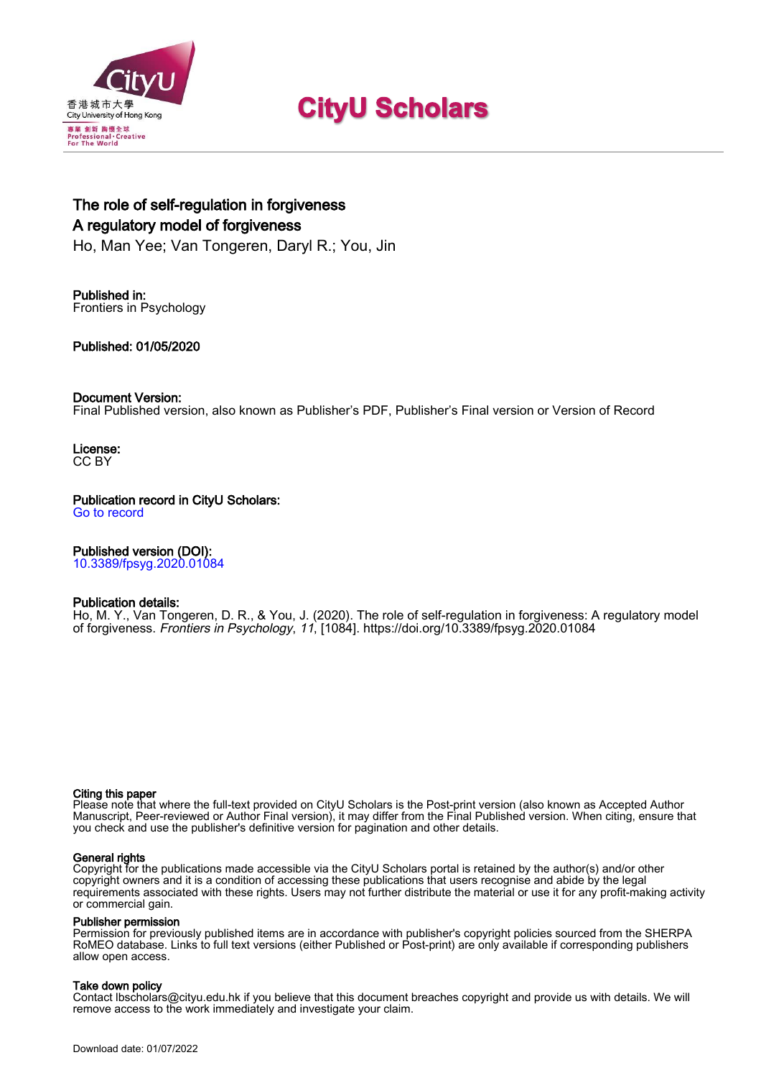

# **CityU Scholars**

# The role of self-regulation in forgiveness A regulatory model of forgiveness

Ho, Man Yee; Van Tongeren, Daryl R.; You, Jin

Published in: Frontiers in Psychology

Published: 01/05/2020

#### Document Version:

Final Published version, also known as Publisher's PDF, Publisher's Final version or Version of Record

License: CC BY

## Publication record in CityU Scholars:

[Go to record](https://scholars.cityu.edu.hk/en/publications/the-role-of-selfregulation-in-forgiveness(f0f77115-470c-4449-aa2e-f2f67b7e7f07).html)

#### Published version (DOI):

[10.3389/fpsyg.2020.01084](https://doi.org/10.3389/fpsyg.2020.01084)

#### Publication details:

[Ho, M. Y.,](https://scholars.cityu.edu.hk/en/persons/man-yee-ho(95de2dcf-cd87-470e-b48a-85f1eb721a8b).html) Van Tongeren, D. R., & You, J. (2020). [The role of self-regulation in forgiveness: A regulatory model](https://scholars.cityu.edu.hk/en/publications/the-role-of-selfregulation-in-forgiveness(f0f77115-470c-4449-aa2e-f2f67b7e7f07).html) [of forgiveness](https://scholars.cityu.edu.hk/en/publications/the-role-of-selfregulation-in-forgiveness(f0f77115-470c-4449-aa2e-f2f67b7e7f07).html). [Frontiers in Psychology](https://scholars.cityu.edu.hk/en/journals/frontiers-in-psychology(15b2fdfd-5ce5-405a-ab79-75e136d29d8c)/publications.html), 11, [1084].<https://doi.org/10.3389/fpsyg.2020.01084>

#### Citing this paper

Please note that where the full-text provided on CityU Scholars is the Post-print version (also known as Accepted Author Manuscript, Peer-reviewed or Author Final version), it may differ from the Final Published version. When citing, ensure that you check and use the publisher's definitive version for pagination and other details.

#### General rights

Copyright for the publications made accessible via the CityU Scholars portal is retained by the author(s) and/or other copyright owners and it is a condition of accessing these publications that users recognise and abide by the legal requirements associated with these rights. Users may not further distribute the material or use it for any profit-making activity or commercial gain.

#### Publisher permission

Permission for previously published items are in accordance with publisher's copyright policies sourced from the SHERPA RoMEO database. Links to full text versions (either Published or Post-print) are only available if corresponding publishers allow open access.

#### Take down policy

Contact lbscholars@cityu.edu.hk if you believe that this document breaches copyright and provide us with details. We will remove access to the work immediately and investigate your claim.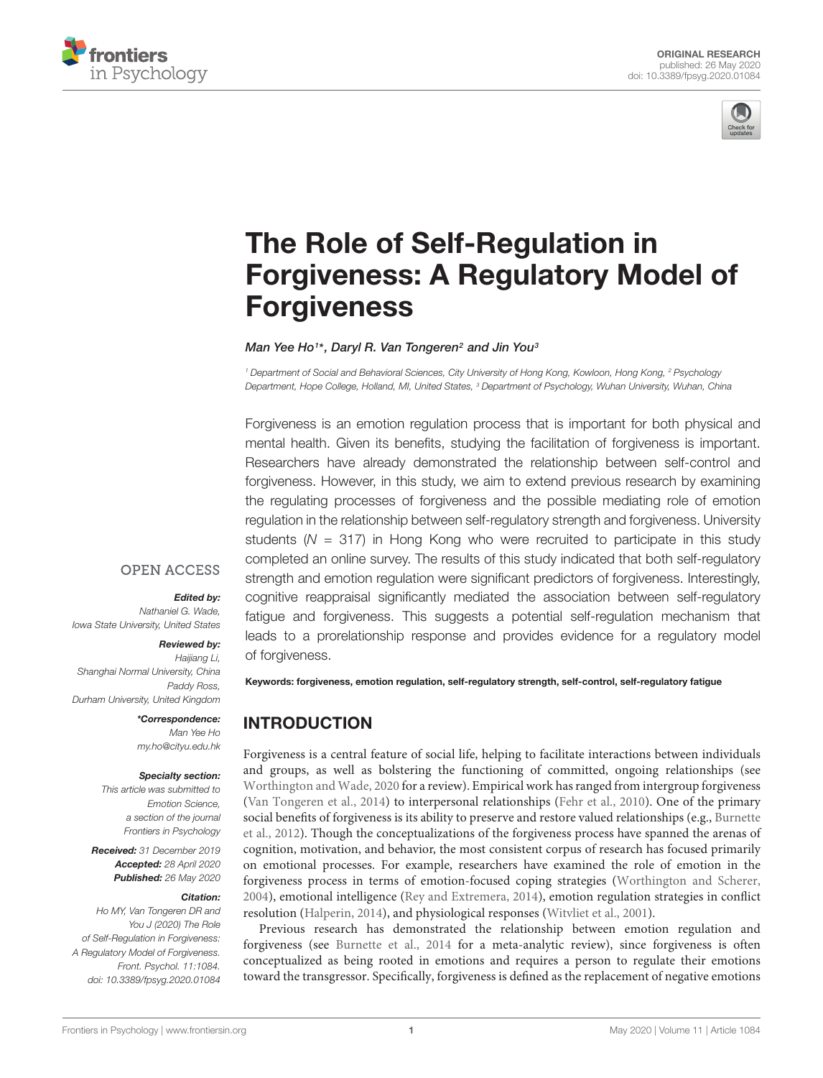



# The Role of Self-Regulation in [Forgiveness: A Regulatory Model of](https://www.frontiersin.org/articles/10.3389/fpsyg.2020.01084/full) Forgiveness

#### [Man Yee Ho](http://loop.frontiersin.org/people/754175/overview)1\*, [Daryl R. Van Tongeren](http://loop.frontiersin.org/people/572589/overview)<sup>2</sup> and [Jin You](http://loop.frontiersin.org/people/977236/overview)<sup>s</sup>

<sup>1</sup> Department of Social and Behavioral Sciences, City University of Hong Kong, Kowloon, Hong Kong, <sup>2</sup> Psychology Department, Hope College, Holland, MI, United States, <sup>3</sup> Department of Psychology, Wuhan University, Wuhan, China

Forgiveness is an emotion regulation process that is important for both physical and mental health. Given its benefits, studying the facilitation of forgiveness is important. Researchers have already demonstrated the relationship between self-control and forgiveness. However, in this study, we aim to extend previous research by examining the regulating processes of forgiveness and the possible mediating role of emotion regulation in the relationship between self-regulatory strength and forgiveness. University students ( $N = 317$ ) in Hong Kong who were recruited to participate in this study completed an online survey. The results of this study indicated that both self-regulatory strength and emotion regulation were significant predictors of forgiveness. Interestingly, cognitive reappraisal significantly mediated the association between self-regulatory fatigue and forgiveness. This suggests a potential self-regulation mechanism that leads to a prorelationship response and provides evidence for a regulatory model of forgiveness.

#### **OPEN ACCESS**

#### Edited by:

Nathaniel G. Wade, Iowa State University, United States

#### Reviewed by:

Haijiang Li, Shanghai Normal University, China Paddy Ross, Durham University, United Kingdom

> \*Correspondence: Man Yee Ho my.ho@cityu.edu.hk

#### Specialty section:

This article was submitted to Emotion Science, a section of the journal Frontiers in Psychology

Received: 31 December 2019 Accepted: 28 April 2020 Published: 26 May 2020

#### Citation:

Ho MY, Van Tongeren DR and You J (2020) The Role of Self-Regulation in Forgiveness: A Regulatory Model of Forgiveness. Front. Psychol. 11:1084. doi: [10.3389/fpsyg.2020.01084](https://doi.org/10.3389/fpsyg.2020.01084)

Keywords: forgiveness, emotion regulation, self-regulatory strength, self-control, self-regulatory fatigue

# INTRODUCTION

Forgiveness is a central feature of social life, helping to facilitate interactions between individuals and groups, as well as bolstering the functioning of committed, ongoing relationships (see [Worthington and Wade,](#page-7-0) [2020](#page-7-0) for a review). Empirical work has ranged from intergroup forgiveness [\(Van Tongeren et al.,](#page-7-1) [2014\)](#page-7-1) to interpersonal relationships [\(Fehr et al.,](#page-7-2) [2010\)](#page-7-2). One of the primary social benefits of forgiveness is its ability to preserve and restore valued relationships (e.g., [Burnette](#page-7-3) [et al.,](#page-7-3) [2012\)](#page-7-3). Though the conceptualizations of the forgiveness process have spanned the arenas of cognition, motivation, and behavior, the most consistent corpus of research has focused primarily on emotional processes. For example, researchers have examined the role of emotion in the forgiveness process in terms of emotion-focused coping strategies [\(Worthington and Scherer,](#page-7-4) [2004\)](#page-7-4), emotional intelligence [\(Rey and Extremera,](#page-7-5) [2014\)](#page-7-5), emotion regulation strategies in conflict resolution [\(Halperin,](#page-7-6) [2014\)](#page-7-6), and physiological responses [\(Witvliet et al.,](#page-7-7) [2001\)](#page-7-7).

Previous research has demonstrated the relationship between emotion regulation and forgiveness (see [Burnette et al.,](#page-7-8) [2014](#page-7-8) for a meta-analytic review), since forgiveness is often conceptualized as being rooted in emotions and requires a person to regulate their emotions toward the transgressor. Specifically, forgiveness is defined as the replacement of negative emotions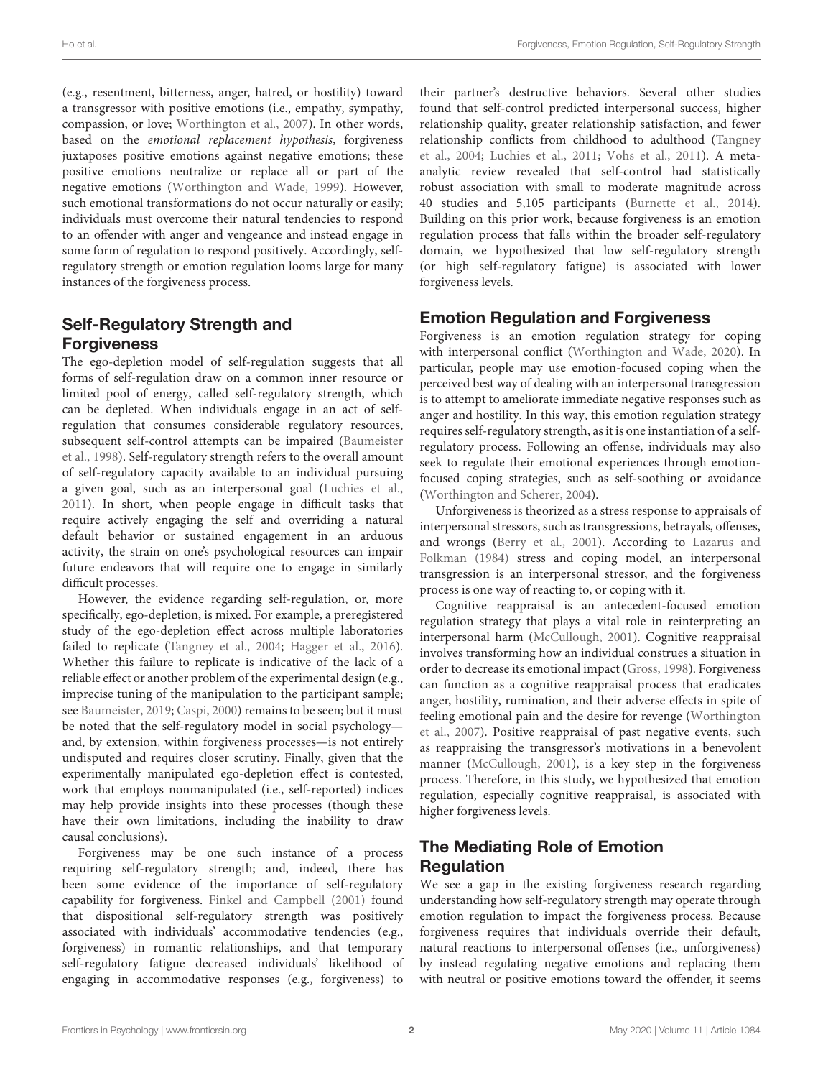(e.g., resentment, bitterness, anger, hatred, or hostility) toward a transgressor with positive emotions (i.e., empathy, sympathy, compassion, or love; [Worthington et al.,](#page-7-9) [2007\)](#page-7-9). In other words, based on the emotional replacement hypothesis, forgiveness juxtaposes positive emotions against negative emotions; these positive emotions neutralize or replace all or part of the negative emotions [\(Worthington and Wade,](#page-7-10) [1999\)](#page-7-10). However, such emotional transformations do not occur naturally or easily; individuals must overcome their natural tendencies to respond to an offender with anger and vengeance and instead engage in some form of regulation to respond positively. Accordingly, selfregulatory strength or emotion regulation looms large for many instances of the forgiveness process.

# Self-Regulatory Strength and Forgiveness

The ego-depletion model of self-regulation suggests that all forms of self-regulation draw on a common inner resource or limited pool of energy, called self-regulatory strength, which can be depleted. When individuals engage in an act of selfregulation that consumes considerable regulatory resources, subsequent self-control attempts can be impaired [\(Baumeister](#page-6-0) [et al.,](#page-6-0) [1998\)](#page-6-0). Self-regulatory strength refers to the overall amount of self-regulatory capacity available to an individual pursuing a given goal, such as an interpersonal goal [\(Luchies et al.,](#page-7-11) [2011\)](#page-7-11). In short, when people engage in difficult tasks that require actively engaging the self and overriding a natural default behavior or sustained engagement in an arduous activity, the strain on one's psychological resources can impair future endeavors that will require one to engage in similarly difficult processes.

However, the evidence regarding self-regulation, or, more specifically, ego-depletion, is mixed. For example, a preregistered study of the ego-depletion effect across multiple laboratories failed to replicate [\(Tangney et al.,](#page-7-12) [2004;](#page-7-12) [Hagger et al.,](#page-7-13) [2016\)](#page-7-13). Whether this failure to replicate is indicative of the lack of a reliable effect or another problem of the experimental design (e.g., imprecise tuning of the manipulation to the participant sample; see [Baumeister,](#page-6-1) [2019;](#page-6-1) [Caspi,](#page-7-14) [2000\)](#page-7-14) remains to be seen; but it must be noted that the self-regulatory model in social psychology and, by extension, within forgiveness processes—is not entirely undisputed and requires closer scrutiny. Finally, given that the experimentally manipulated ego-depletion effect is contested, work that employs nonmanipulated (i.e., self-reported) indices may help provide insights into these processes (though these have their own limitations, including the inability to draw causal conclusions).

Forgiveness may be one such instance of a process requiring self-regulatory strength; and, indeed, there has been some evidence of the importance of self-regulatory capability for forgiveness. [Finkel and Campbell](#page-7-15) [\(2001\)](#page-7-15) found that dispositional self-regulatory strength was positively associated with individuals' accommodative tendencies (e.g., forgiveness) in romantic relationships, and that temporary self-regulatory fatigue decreased individuals' likelihood of engaging in accommodative responses (e.g., forgiveness) to

their partner's destructive behaviors. Several other studies found that self-control predicted interpersonal success, higher relationship quality, greater relationship satisfaction, and fewer relationship conflicts from childhood to adulthood [\(Tangney](#page-7-12) [et al.,](#page-7-12) [2004;](#page-7-12) [Luchies et al.,](#page-7-11) [2011;](#page-7-11) [Vohs et al.,](#page-7-16) [2011\)](#page-7-16). A metaanalytic review revealed that self-control had statistically robust association with small to moderate magnitude across 40 studies and 5,105 participants [\(Burnette et al.,](#page-7-8) [2014\)](#page-7-8). Building on this prior work, because forgiveness is an emotion regulation process that falls within the broader self-regulatory domain, we hypothesized that low self-regulatory strength (or high self-regulatory fatigue) is associated with lower forgiveness levels.

# Emotion Regulation and Forgiveness

Forgiveness is an emotion regulation strategy for coping with interpersonal conflict [\(Worthington and Wade,](#page-7-0) [2020\)](#page-7-0). In particular, people may use emotion-focused coping when the perceived best way of dealing with an interpersonal transgression is to attempt to ameliorate immediate negative responses such as anger and hostility. In this way, this emotion regulation strategy requires self-regulatory strength, as it is one instantiation of a selfregulatory process. Following an offense, individuals may also seek to regulate their emotional experiences through emotionfocused coping strategies, such as self-soothing or avoidance [\(Worthington and Scherer,](#page-7-4) [2004\)](#page-7-4).

Unforgiveness is theorized as a stress response to appraisals of interpersonal stressors, such as transgressions, betrayals, offenses, and wrongs [\(Berry et al.,](#page-7-17) [2001\)](#page-7-17). According to [Lazarus and](#page-7-18) [Folkman](#page-7-18) [\(1984\)](#page-7-18) stress and coping model, an interpersonal transgression is an interpersonal stressor, and the forgiveness process is one way of reacting to, or coping with it.

Cognitive reappraisal is an antecedent-focused emotion regulation strategy that plays a vital role in reinterpreting an interpersonal harm [\(McCullough,](#page-7-19) [2001\)](#page-7-19). Cognitive reappraisal involves transforming how an individual construes a situation in order to decrease its emotional impact [\(Gross,](#page-7-20) [1998\)](#page-7-20). Forgiveness can function as a cognitive reappraisal process that eradicates anger, hostility, rumination, and their adverse effects in spite of feeling emotional pain and the desire for revenge [\(Worthington](#page-7-9) [et al.,](#page-7-9) [2007\)](#page-7-9). Positive reappraisal of past negative events, such as reappraising the transgressor's motivations in a benevolent manner [\(McCullough,](#page-7-19) [2001\)](#page-7-19), is a key step in the forgiveness process. Therefore, in this study, we hypothesized that emotion regulation, especially cognitive reappraisal, is associated with higher forgiveness levels.

# The Mediating Role of Emotion Regulation

We see a gap in the existing forgiveness research regarding understanding how self-regulatory strength may operate through emotion regulation to impact the forgiveness process. Because forgiveness requires that individuals override their default, natural reactions to interpersonal offenses (i.e., unforgiveness) by instead regulating negative emotions and replacing them with neutral or positive emotions toward the offender, it seems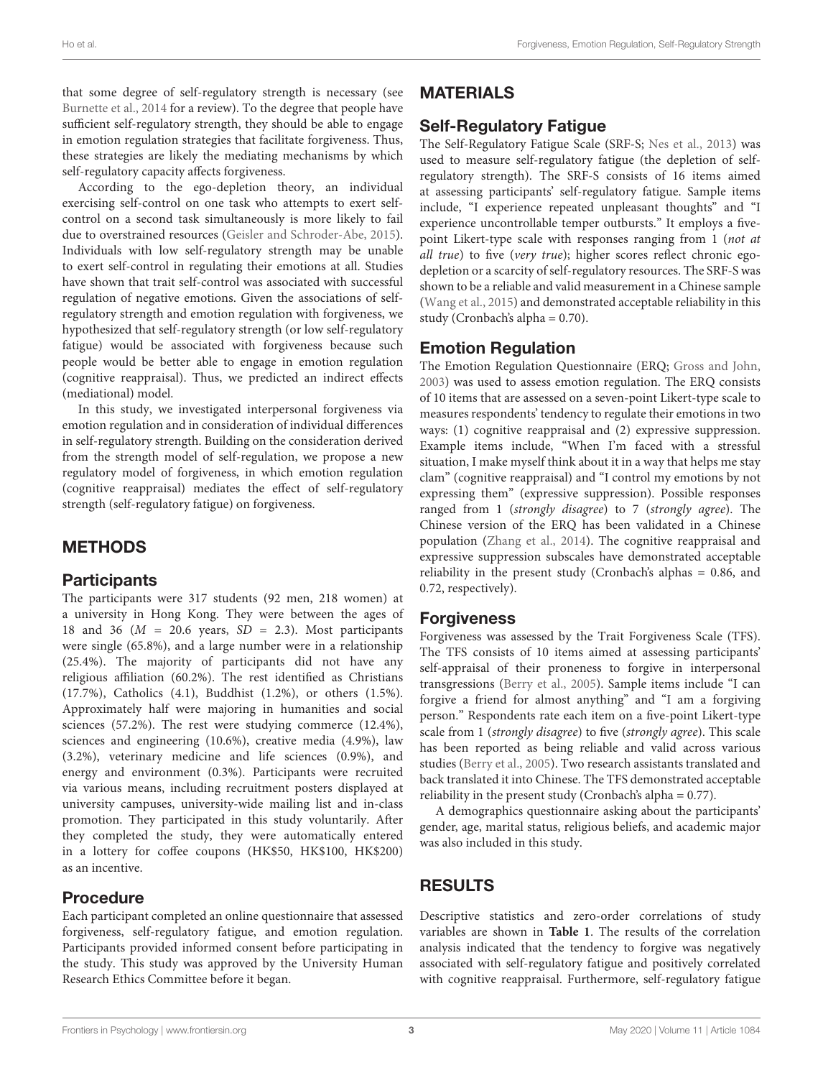that some degree of self-regulatory strength is necessary (see [Burnette et al.,](#page-7-8) [2014](#page-7-8) for a review). To the degree that people have sufficient self-regulatory strength, they should be able to engage in emotion regulation strategies that facilitate forgiveness. Thus, these strategies are likely the mediating mechanisms by which self-regulatory capacity affects forgiveness.

According to the ego-depletion theory, an individual exercising self-control on one task who attempts to exert selfcontrol on a second task simultaneously is more likely to fail due to overstrained resources [\(Geisler and Schroder-Abe,](#page-7-21) [2015\)](#page-7-21). Individuals with low self-regulatory strength may be unable to exert self-control in regulating their emotions at all. Studies have shown that trait self-control was associated with successful regulation of negative emotions. Given the associations of selfregulatory strength and emotion regulation with forgiveness, we hypothesized that self-regulatory strength (or low self-regulatory fatigue) would be associated with forgiveness because such people would be better able to engage in emotion regulation (cognitive reappraisal). Thus, we predicted an indirect effects (mediational) model.

In this study, we investigated interpersonal forgiveness via emotion regulation and in consideration of individual differences in self-regulatory strength. Building on the consideration derived from the strength model of self-regulation, we propose a new regulatory model of forgiveness, in which emotion regulation (cognitive reappraisal) mediates the effect of self-regulatory strength (self-regulatory fatigue) on forgiveness.

## METHODS

#### **Participants**

The participants were 317 students (92 men, 218 women) at a university in Hong Kong. They were between the ages of 18 and 36 ( $M = 20.6$  years,  $SD = 2.3$ ). Most participants were single (65.8%), and a large number were in a relationship (25.4%). The majority of participants did not have any religious affiliation (60.2%). The rest identified as Christians (17.7%), Catholics (4.1), Buddhist (1.2%), or others (1.5%). Approximately half were majoring in humanities and social sciences (57.2%). The rest were studying commerce (12.4%), sciences and engineering (10.6%), creative media (4.9%), law (3.2%), veterinary medicine and life sciences (0.9%), and energy and environment (0.3%). Participants were recruited via various means, including recruitment posters displayed at university campuses, university-wide mailing list and in-class promotion. They participated in this study voluntarily. After they completed the study, they were automatically entered in a lottery for coffee coupons (HK\$50, HK\$100, HK\$200) as an incentive.

### Procedure

Each participant completed an online questionnaire that assessed forgiveness, self-regulatory fatigue, and emotion regulation. Participants provided informed consent before participating in the study. This study was approved by the University Human Research Ethics Committee before it began.

# MATERIALS

# Self-Regulatory Fatigue

The Self-Regulatory Fatigue Scale (SRF-S; [Nes et al.,](#page-7-22) [2013\)](#page-7-22) was used to measure self-regulatory fatigue (the depletion of selfregulatory strength). The SRF-S consists of 16 items aimed at assessing participants' self-regulatory fatigue. Sample items include, "I experience repeated unpleasant thoughts" and "I experience uncontrollable temper outbursts." It employs a fivepoint Likert-type scale with responses ranging from 1 (not at all true) to five (very true); higher scores reflect chronic egodepletion or a scarcity of self-regulatory resources. The SRF-S was shown to be a reliable and valid measurement in a Chinese sample [\(Wang et al.,](#page-7-23) [2015\)](#page-7-23) and demonstrated acceptable reliability in this study (Cronbach's alpha = 0.70).

## Emotion Regulation

The Emotion Regulation Questionnaire (ERQ; [Gross and John,](#page-7-24) [2003\)](#page-7-24) was used to assess emotion regulation. The ERQ consists of 10 items that are assessed on a seven-point Likert-type scale to measures respondents' tendency to regulate their emotions in two ways: (1) cognitive reappraisal and (2) expressive suppression. Example items include, "When I'm faced with a stressful situation, I make myself think about it in a way that helps me stay clam" (cognitive reappraisal) and "I control my emotions by not expressing them" (expressive suppression). Possible responses ranged from 1 (strongly disagree) to 7 (strongly agree). The Chinese version of the ERQ has been validated in a Chinese population [\(Zhang et al.,](#page-7-25) [2014\)](#page-7-25). The cognitive reappraisal and expressive suppression subscales have demonstrated acceptable reliability in the present study (Cronbach's alphas = 0.86, and 0.72, respectively).

## Forgiveness

Forgiveness was assessed by the Trait Forgiveness Scale (TFS). The TFS consists of 10 items aimed at assessing participants' self-appraisal of their proneness to forgive in interpersonal transgressions [\(Berry et al.,](#page-7-26) [2005\)](#page-7-26). Sample items include "I can forgive a friend for almost anything" and "I am a forgiving person." Respondents rate each item on a five-point Likert-type scale from 1 (strongly disagree) to five (strongly agree). This scale has been reported as being reliable and valid across various studies [\(Berry et al.,](#page-7-26) [2005\)](#page-7-26). Two research assistants translated and back translated it into Chinese. The TFS demonstrated acceptable reliability in the present study (Cronbach's alpha = 0.77).

A demographics questionnaire asking about the participants' gender, age, marital status, religious beliefs, and academic major was also included in this study.

## RESULTS

Descriptive statistics and zero-order correlations of study variables are shown in **[Table 1](#page-4-0)**. The results of the correlation analysis indicated that the tendency to forgive was negatively associated with self-regulatory fatigue and positively correlated with cognitive reappraisal. Furthermore, self-regulatory fatigue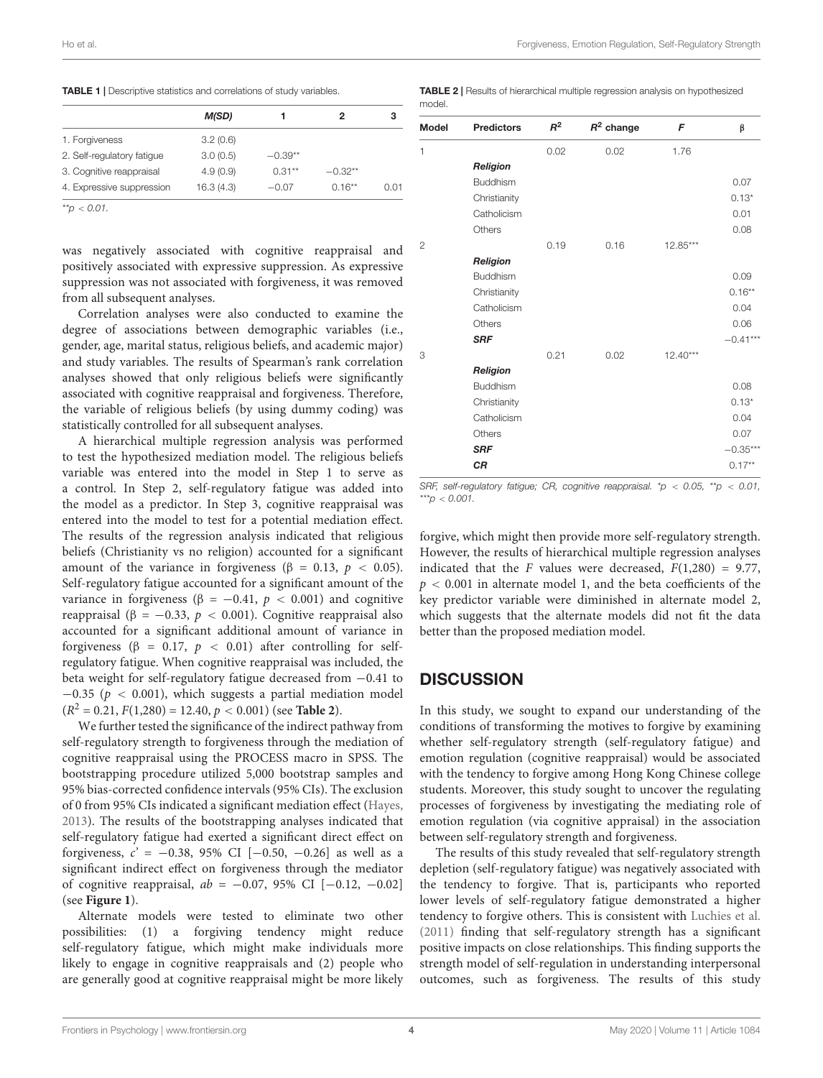<span id="page-4-0"></span>

| M(SD)      |           | 2         | з    |
|------------|-----------|-----------|------|
| 3.2(0.6)   |           |           |      |
| 3.0(0.5)   | $-0.39**$ |           |      |
| 4.9(0.9)   | $0.31**$  | $-0.32**$ |      |
| 16.3 (4.3) | $-0.07$   | $0.16**$  | 0.01 |
|            |           |           |      |

 $*^{*}p < 0.01$ .

was negatively associated with cognitive reappraisal and positively associated with expressive suppression. As expressive suppression was not associated with forgiveness, it was removed from all subsequent analyses.

Correlation analyses were also conducted to examine the degree of associations between demographic variables (i.e., gender, age, marital status, religious beliefs, and academic major) and study variables. The results of Spearman's rank correlation analyses showed that only religious beliefs were significantly associated with cognitive reappraisal and forgiveness. Therefore, the variable of religious beliefs (by using dummy coding) was statistically controlled for all subsequent analyses.

A hierarchical multiple regression analysis was performed to test the hypothesized mediation model. The religious beliefs variable was entered into the model in Step 1 to serve as a control. In Step 2, self-regulatory fatigue was added into the model as a predictor. In Step 3, cognitive reappraisal was entered into the model to test for a potential mediation effect. The results of the regression analysis indicated that religious beliefs (Christianity vs no religion) accounted for a significant amount of the variance in forgiveness ( $\beta = 0.13$ ,  $p < 0.05$ ). Self-regulatory fatigue accounted for a significant amount of the variance in forgiveness ( $\beta = -0.41$ ,  $p < 0.001$ ) and cognitive reappraisal (β = -0.33,  $p < 0.001$ ). Cognitive reappraisal also accounted for a significant additional amount of variance in forgiveness ( $\beta = 0.17$ ,  $p < 0.01$ ) after controlling for selfregulatory fatigue. When cognitive reappraisal was included, the beta weight for self-regulatory fatigue decreased from −0.41 to  $-0.35$  ( $p < 0.001$ ), which suggests a partial mediation model  $(R^2 = 0.21, F(1,280) = 12.40, p < 0.001)$  (see **[Table 2](#page-4-1)**).

We further tested the significance of the indirect pathway from self-regulatory strength to forgiveness through the mediation of cognitive reappraisal using the PROCESS macro in SPSS. The bootstrapping procedure utilized 5,000 bootstrap samples and 95% bias-corrected confidence intervals (95% CIs). The exclusion of 0 from 95% CIs indicated a significant mediation effect [\(Hayes,](#page-7-27) [2013\)](#page-7-27). The results of the bootstrapping analyses indicated that self-regulatory fatigue had exerted a significant direct effect on forgiveness,  $c' = -0.38$ , 95% CI [-0.50, -0.26] as well as a significant indirect effect on forgiveness through the mediator of cognitive reappraisal,  $ab = -0.07, 95\%$  CI [−0.12, −0.02] (see **[Figure 1](#page-5-0)**).

Alternate models were tested to eliminate two other possibilities: (1) a forgiving tendency might reduce self-regulatory fatigue, which might make individuals more likely to engage in cognitive reappraisals and (2) people who are generally good at cognitive reappraisal might be more likely

<span id="page-4-1"></span>TABLE 2 | Results of hierarchical multiple regression analysis on hypothesized model

| <b>Model</b>   | <b>Predictors</b> | $R^2$ | $R^2$ change | F          | β          |
|----------------|-------------------|-------|--------------|------------|------------|
| 1              |                   | 0.02  | 0.02         | 1.76       |            |
|                | Religion          |       |              |            |            |
|                | <b>Buddhism</b>   |       |              |            | 0.07       |
|                | Christianity      |       |              |            | $0.13*$    |
|                | Catholicism       |       |              |            | 0.01       |
|                | Others            |       |              |            | 0.08       |
| $\overline{2}$ |                   | 0.19  | 0.16         | $12.85***$ |            |
|                | Religion          |       |              |            |            |
|                | <b>Buddhism</b>   |       |              |            | 0.09       |
|                | Christianity      |       |              |            | $0.16***$  |
|                | Catholicism       |       |              |            | 0.04       |
|                | Others            |       |              |            | 0.06       |
|                | <b>SRF</b>        |       |              |            | $-0.41***$ |
| 3              |                   | 0.21  | 0.02         | $12.40***$ |            |
|                | Religion          |       |              |            |            |
|                | <b>Buddhism</b>   |       |              |            | 0.08       |
|                | Christianity      |       |              |            | $0.13*$    |
|                | Catholicism       |       |              |            | 0.04       |
|                | Others            |       |              |            | 0.07       |
|                | <b>SRF</b>        |       |              |            | $-0.35***$ |
|                | <b>CR</b>         |       |              |            | $0.17**$   |
|                |                   |       |              |            |            |

SRF, self-regulatory fatigue; CR, cognitive reappraisal. \*p < 0.05, \*\*p < 0.01, \*\*\*p  $< 0.001$ .

forgive, which might then provide more self-regulatory strength. However, the results of hierarchical multiple regression analyses indicated that the F values were decreased,  $F(1,280) = 9.77$ ,  $p < 0.001$  in alternate model 1, and the beta coefficients of the key predictor variable were diminished in alternate model 2, which suggests that the alternate models did not fit the data better than the proposed mediation model.

### **DISCUSSION**

In this study, we sought to expand our understanding of the conditions of transforming the motives to forgive by examining whether self-regulatory strength (self-regulatory fatigue) and emotion regulation (cognitive reappraisal) would be associated with the tendency to forgive among Hong Kong Chinese college students. Moreover, this study sought to uncover the regulating processes of forgiveness by investigating the mediating role of emotion regulation (via cognitive appraisal) in the association between self-regulatory strength and forgiveness.

The results of this study revealed that self-regulatory strength depletion (self-regulatory fatigue) was negatively associated with the tendency to forgive. That is, participants who reported lower levels of self-regulatory fatigue demonstrated a higher tendency to forgive others. This is consistent with [Luchies et al.](#page-7-11) [\(2011\)](#page-7-11) finding that self-regulatory strength has a significant positive impacts on close relationships. This finding supports the strength model of self-regulation in understanding interpersonal outcomes, such as forgiveness. The results of this study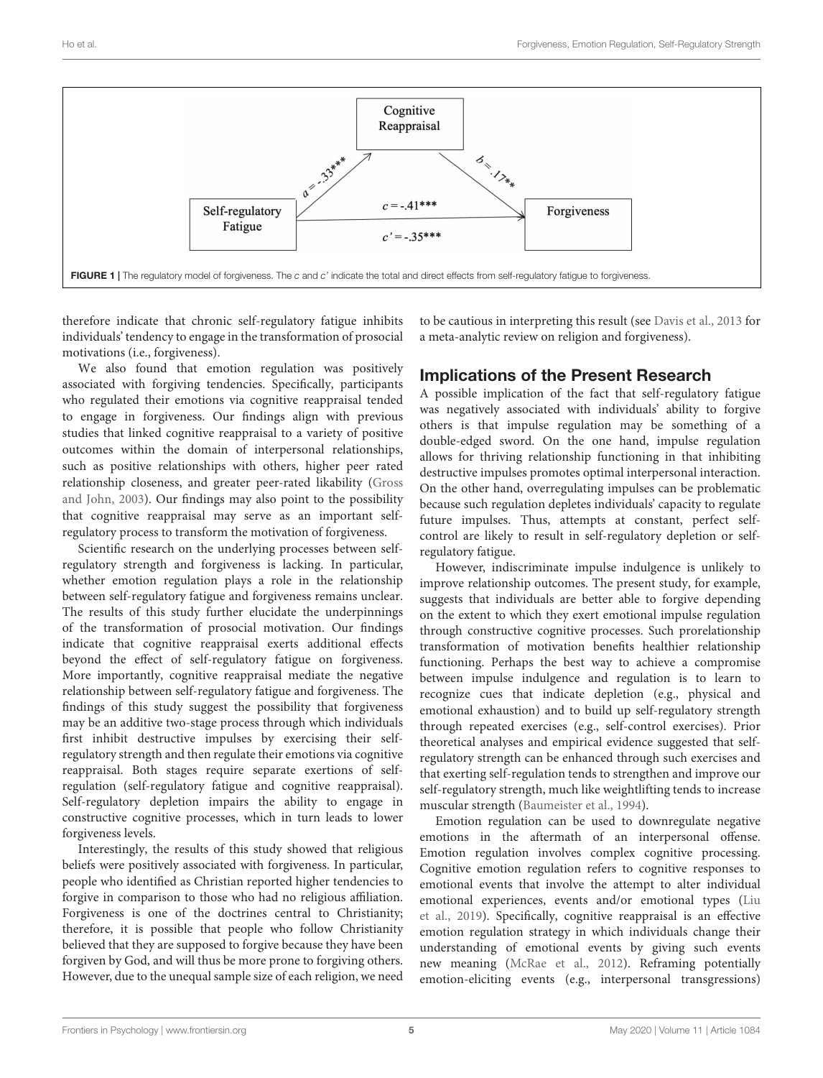

<span id="page-5-0"></span>therefore indicate that chronic self-regulatory fatigue inhibits individuals' tendency to engage in the transformation of prosocial motivations (i.e., forgiveness).

We also found that emotion regulation was positively associated with forgiving tendencies. Specifically, participants who regulated their emotions via cognitive reappraisal tended to engage in forgiveness. Our findings align with previous studies that linked cognitive reappraisal to a variety of positive outcomes within the domain of interpersonal relationships, such as positive relationships with others, higher peer rated relationship closeness, and greater peer-rated likability [\(Gross](#page-7-24) [and John,](#page-7-24) [2003\)](#page-7-24). Our findings may also point to the possibility that cognitive reappraisal may serve as an important selfregulatory process to transform the motivation of forgiveness.

Scientific research on the underlying processes between selfregulatory strength and forgiveness is lacking. In particular, whether emotion regulation plays a role in the relationship between self-regulatory fatigue and forgiveness remains unclear. The results of this study further elucidate the underpinnings of the transformation of prosocial motivation. Our findings indicate that cognitive reappraisal exerts additional effects beyond the effect of self-regulatory fatigue on forgiveness. More importantly, cognitive reappraisal mediate the negative relationship between self-regulatory fatigue and forgiveness. The findings of this study suggest the possibility that forgiveness may be an additive two-stage process through which individuals first inhibit destructive impulses by exercising their selfregulatory strength and then regulate their emotions via cognitive reappraisal. Both stages require separate exertions of selfregulation (self-regulatory fatigue and cognitive reappraisal). Self-regulatory depletion impairs the ability to engage in constructive cognitive processes, which in turn leads to lower forgiveness levels.

Interestingly, the results of this study showed that religious beliefs were positively associated with forgiveness. In particular, people who identified as Christian reported higher tendencies to forgive in comparison to those who had no religious affiliation. Forgiveness is one of the doctrines central to Christianity; therefore, it is possible that people who follow Christianity believed that they are supposed to forgive because they have been forgiven by God, and will thus be more prone to forgiving others. However, due to the unequal sample size of each religion, we need

to be cautious in interpreting this result (see [Davis et al.,](#page-7-28) [2013](#page-7-28) for a meta-analytic review on religion and forgiveness).

# Implications of the Present Research

A possible implication of the fact that self-regulatory fatigue was negatively associated with individuals' ability to forgive others is that impulse regulation may be something of a double-edged sword. On the one hand, impulse regulation allows for thriving relationship functioning in that inhibiting destructive impulses promotes optimal interpersonal interaction. On the other hand, overregulating impulses can be problematic because such regulation depletes individuals' capacity to regulate future impulses. Thus, attempts at constant, perfect selfcontrol are likely to result in self-regulatory depletion or selfregulatory fatigue.

However, indiscriminate impulse indulgence is unlikely to improve relationship outcomes. The present study, for example, suggests that individuals are better able to forgive depending on the extent to which they exert emotional impulse regulation through constructive cognitive processes. Such prorelationship transformation of motivation benefits healthier relationship functioning. Perhaps the best way to achieve a compromise between impulse indulgence and regulation is to learn to recognize cues that indicate depletion (e.g., physical and emotional exhaustion) and to build up self-regulatory strength through repeated exercises (e.g., self-control exercises). Prior theoretical analyses and empirical evidence suggested that selfregulatory strength can be enhanced through such exercises and that exerting self-regulation tends to strengthen and improve our self-regulatory strength, much like weightlifting tends to increase muscular strength [\(Baumeister et al.,](#page-6-2) [1994\)](#page-6-2).

Emotion regulation can be used to downregulate negative emotions in the aftermath of an interpersonal offense. Emotion regulation involves complex cognitive processing. Cognitive emotion regulation refers to cognitive responses to emotional events that involve the attempt to alter individual emotional experiences, events and/or emotional types [\(Liu](#page-7-29) [et al.,](#page-7-29) [2019\)](#page-7-29). Specifically, cognitive reappraisal is an effective emotion regulation strategy in which individuals change their understanding of emotional events by giving such events new meaning [\(McRae et al.,](#page-7-30) [2012\)](#page-7-30). Reframing potentially emotion-eliciting events (e.g., interpersonal transgressions)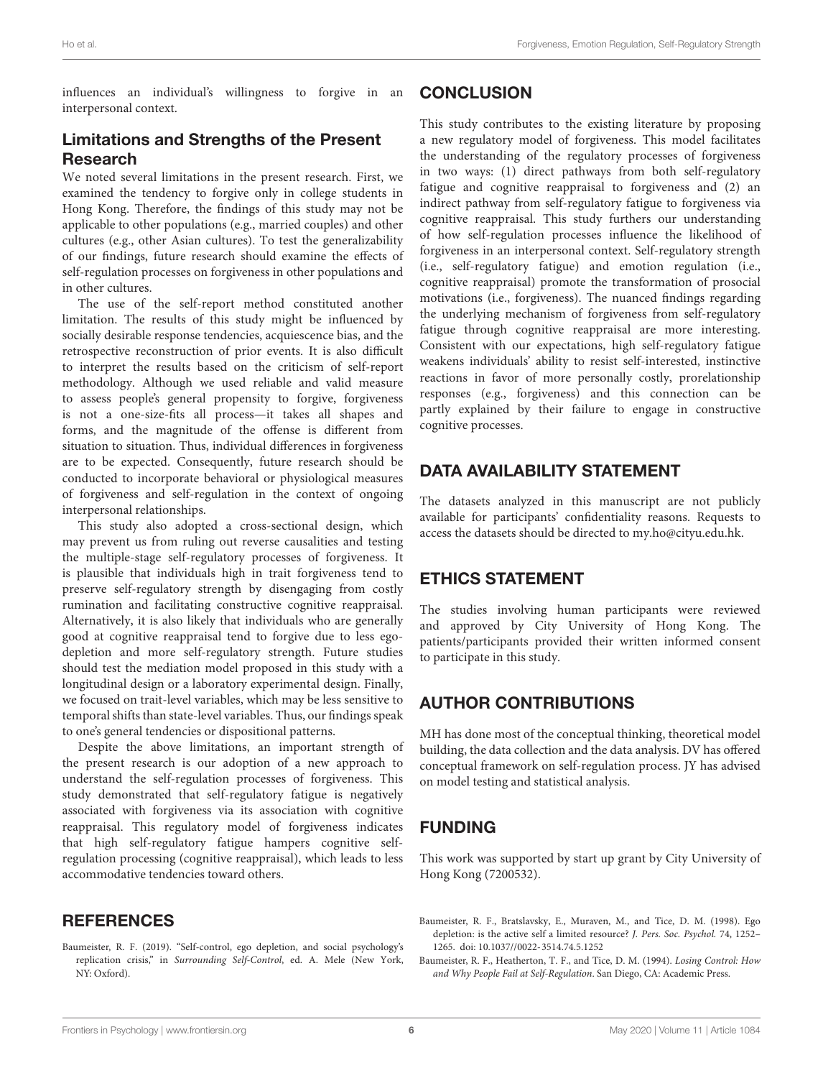influences an individual's willingness to forgive in an interpersonal context.

# Limitations and Strengths of the Present Research

We noted several limitations in the present research. First, we examined the tendency to forgive only in college students in Hong Kong. Therefore, the findings of this study may not be applicable to other populations (e.g., married couples) and other cultures (e.g., other Asian cultures). To test the generalizability of our findings, future research should examine the effects of self-regulation processes on forgiveness in other populations and in other cultures.

The use of the self-report method constituted another limitation. The results of this study might be influenced by socially desirable response tendencies, acquiescence bias, and the retrospective reconstruction of prior events. It is also difficult to interpret the results based on the criticism of self-report methodology. Although we used reliable and valid measure to assess people's general propensity to forgive, forgiveness is not a one-size-fits all process—it takes all shapes and forms, and the magnitude of the offense is different from situation to situation. Thus, individual differences in forgiveness are to be expected. Consequently, future research should be conducted to incorporate behavioral or physiological measures of forgiveness and self-regulation in the context of ongoing interpersonal relationships.

This study also adopted a cross-sectional design, which may prevent us from ruling out reverse causalities and testing the multiple-stage self-regulatory processes of forgiveness. It is plausible that individuals high in trait forgiveness tend to preserve self-regulatory strength by disengaging from costly rumination and facilitating constructive cognitive reappraisal. Alternatively, it is also likely that individuals who are generally good at cognitive reappraisal tend to forgive due to less egodepletion and more self-regulatory strength. Future studies should test the mediation model proposed in this study with a longitudinal design or a laboratory experimental design. Finally, we focused on trait-level variables, which may be less sensitive to temporal shifts than state-level variables. Thus, our findings speak to one's general tendencies or dispositional patterns.

Despite the above limitations, an important strength of the present research is our adoption of a new approach to understand the self-regulation processes of forgiveness. This study demonstrated that self-regulatory fatigue is negatively associated with forgiveness via its association with cognitive reappraisal. This regulatory model of forgiveness indicates that high self-regulatory fatigue hampers cognitive selfregulation processing (cognitive reappraisal), which leads to less accommodative tendencies toward others.

### **REFERENCES**

<span id="page-6-1"></span>Baumeister, R. F. (2019). "Self-control, ego depletion, and social psychology's replication crisis," in Surrounding Self-Control, ed. A. Mele (New York, NY: Oxford).

#### **CONCLUSION**

This study contributes to the existing literature by proposing a new regulatory model of forgiveness. This model facilitates the understanding of the regulatory processes of forgiveness in two ways: (1) direct pathways from both self-regulatory fatigue and cognitive reappraisal to forgiveness and (2) an indirect pathway from self-regulatory fatigue to forgiveness via cognitive reappraisal. This study furthers our understanding of how self-regulation processes influence the likelihood of forgiveness in an interpersonal context. Self-regulatory strength (i.e., self-regulatory fatigue) and emotion regulation (i.e., cognitive reappraisal) promote the transformation of prosocial motivations (i.e., forgiveness). The nuanced findings regarding the underlying mechanism of forgiveness from self-regulatory fatigue through cognitive reappraisal are more interesting. Consistent with our expectations, high self-regulatory fatigue weakens individuals' ability to resist self-interested, instinctive reactions in favor of more personally costly, prorelationship responses (e.g., forgiveness) and this connection can be partly explained by their failure to engage in constructive cognitive processes.

## DATA AVAILABILITY STATEMENT

The datasets analyzed in this manuscript are not publicly available for participants' confidentiality reasons. Requests to access the datasets should be directed to my.ho@cityu.edu.hk.

### ETHICS STATEMENT

The studies involving human participants were reviewed and approved by City University of Hong Kong. The patients/participants provided their written informed consent to participate in this study.

## AUTHOR CONTRIBUTIONS

MH has done most of the conceptual thinking, theoretical model building, the data collection and the data analysis. DV has offered conceptual framework on self-regulation process. JY has advised on model testing and statistical analysis.

# FUNDING

This work was supported by start up grant by City University of Hong Kong (7200532).

- <span id="page-6-0"></span>Baumeister, R. F., Bratslavsky, E., Muraven, M., and Tice, D. M. (1998). Ego depletion: is the active self a limited resource? J. Pers. Soc. Psychol. 74, 1252– 1265. [doi: 10.1037//0022-3514.74.5.1252](https://doi.org/10.1037//0022-3514.74.5.1252)
- <span id="page-6-2"></span>Baumeister, R. F., Heatherton, T. F., and Tice, D. M. (1994). Losing Control: How and Why People Fail at Self-Regulation. San Diego, CA: Academic Press.